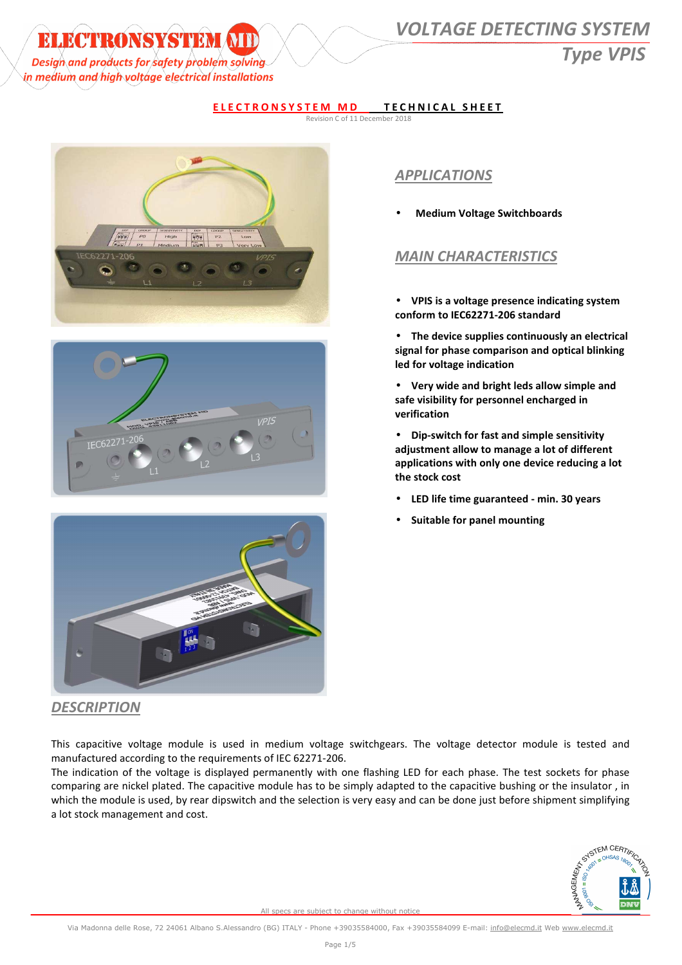## **ELECTRONSYSTEM (NIII) WOLTAGE DETECTING SYSTEM**

*Design* and products for safety problem solving the contract of the contract of the contract of the contract of the contract of the contract of the contract of the contract of the contract of the contract of the contract in medium and high voltage electrical installations

#### **ELECTRONSYSTEM MD TECHNICAL SHEET**

Revision C of 11 December 2018







### *APPLICATIONS*

• **Medium Voltage Switchboards** 

#### *MAIN CHARACTERISTICS*

- **VPIS is a voltage presence indicating system conform to IEC62271-206 standard**
- **The device supplies continuously an electrical signal for phase comparison and optical blinking led for voltage indication**
- **Very wide and bright leds allow simple and safe visibility for personnel encharged in verification**
- **Dip-switch for fast and simple sensitivity adjustment allow to manage a lot of different applications with only one device reducing a lot the stock cost**
- **LED life time guaranteed min. 30 years**
- **Suitable for panel mounting**

#### *DESCRIPTION*

This capacitive voltage module is used in medium voltage switchgears. The voltage detector module is tested and manufactured according to the requirements of IEC 62271-206.

The indication of the voltage is displayed permanently with one flashing LED for each phase. The test sockets for phase comparing are nickel plated. The capacitive module has to be simply adapted to the capacitive bushing or the insulator , in which the module is used, by rear dipswitch and the selection is very easy and can be done just before shipment simplifying a lot stock management and cost.

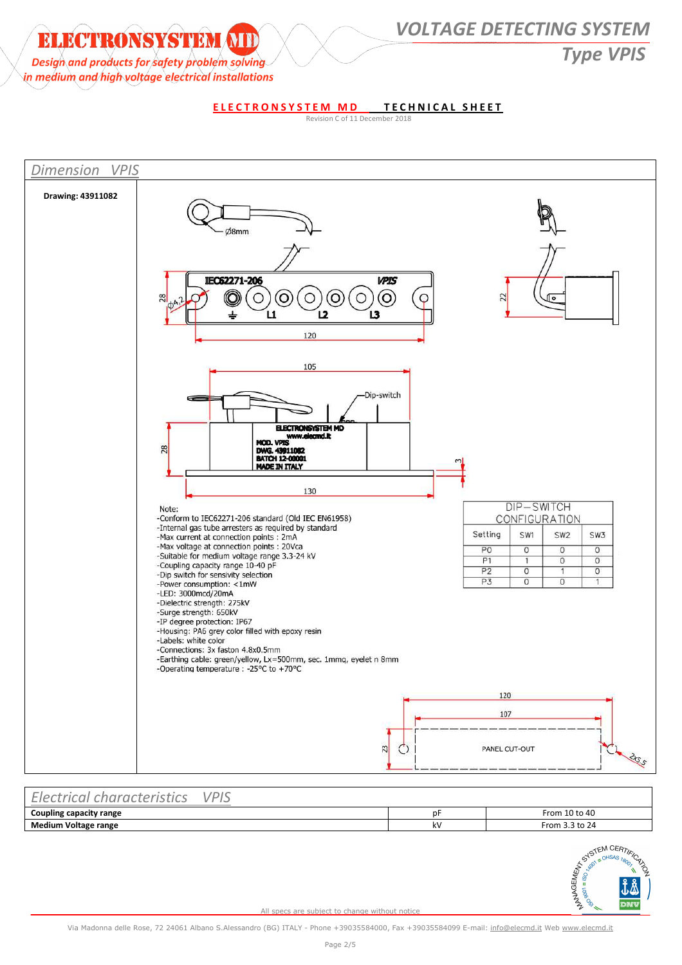*Design and products for safety problem solving* and the same of the same of the same of the same of the same of the same of the same of the same of the same of the same of the same of the same of the same of the same of t

**ELECTRONSYSTEM ATD WOLTAGE DETECTING SYSTEM** 

in medium and high voltage electrical installations

**ELECTRONSYSTEM MD TECHNICAL SHEET** Revision C of 11 December 2018



#### *Electrical characteristics VPIS*  **Coupling capacity range 10 to 40 Coupling capacity range 10 to 40 pF** From 10 to 40 **Medium Voltage range and the set of the set of the set of the set of the set of the set of the set of the set of the set of the set of the set of the set of the set of the set of the set of the set of the set of the set**

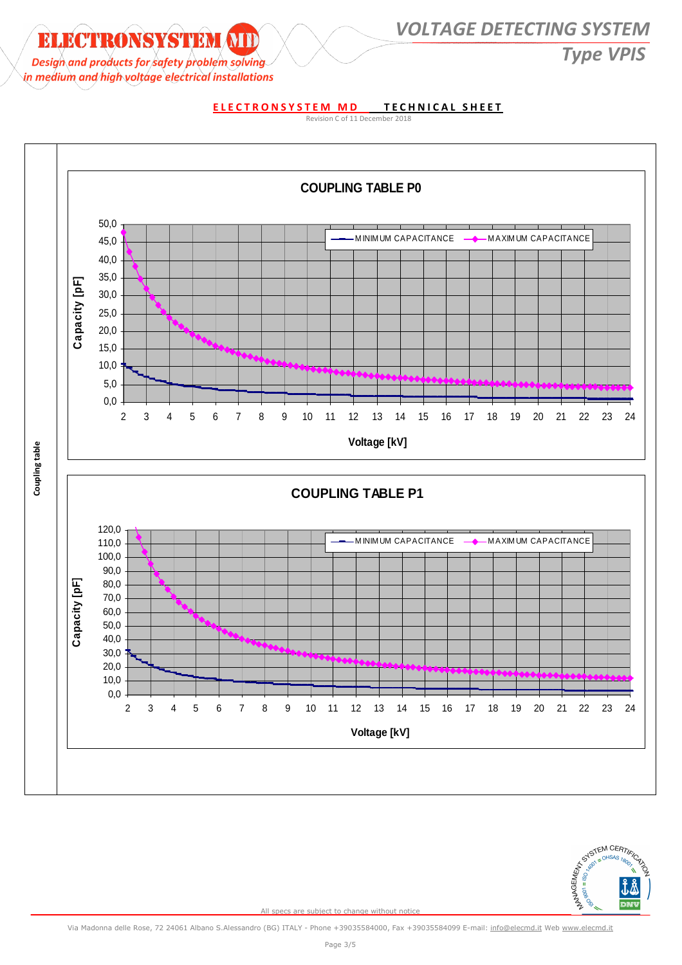# *Design* and products for safety problem solving *CONS*

**ELECTRONSYSTEM ATDENTICALLY OLTAGE DETECTING SYSTEM** 

in medium and high voltage electrical installations

**ELECTRONSYSTEM MD TECHNICAL SHEET** 





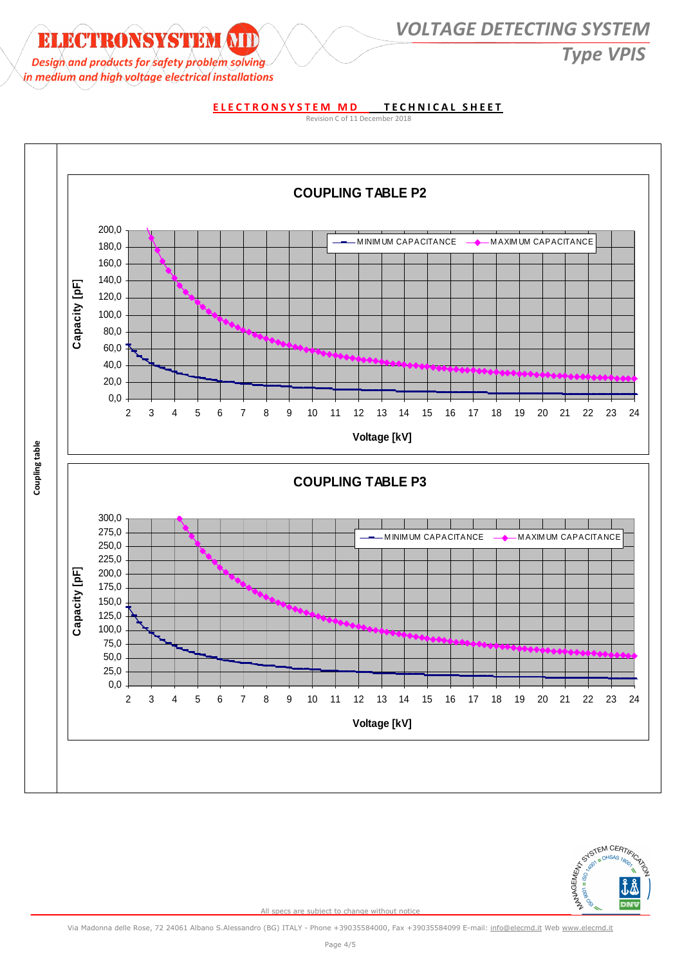# *Design* and products for safety problem solving *CONS*

### **ELECTRONSYSTEM MIDELLY AND AND VOLTAGE DETECTING SYSTEM**

in medium and high voltage electrical installations

#### **ELECTRONSYSTEM MD TECHNICAL SHEET**

Revision C of 11 December 2018